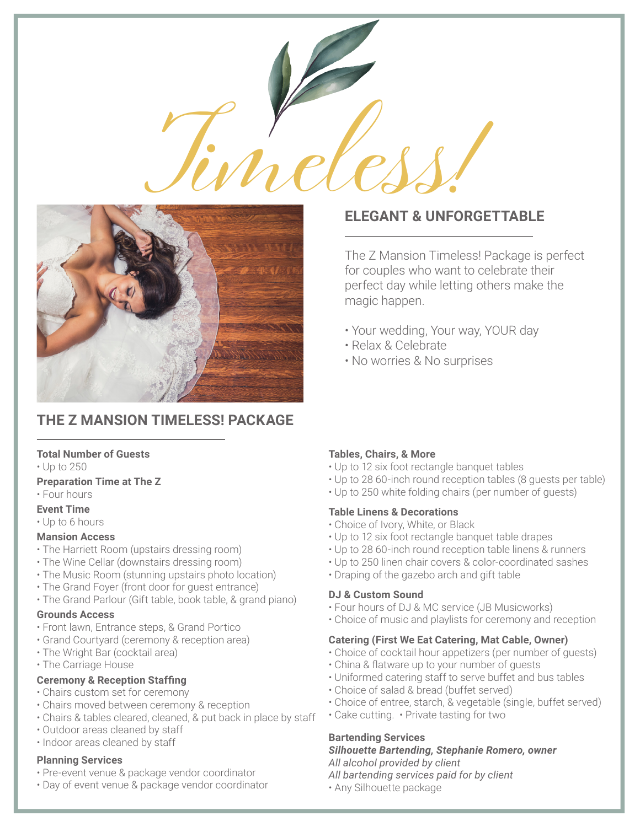



# **THE Z MANSION TIMELESS! PACKAGE**

#### **Total Number of Guests**

• Up to 250

**Preparation Time at The Z**

• Four hours

## **Event Time**

• Up to 6 hours

## **Mansion Access**

- The Harriett Room (upstairs dressing room)
- The Wine Cellar (downstairs dressing room)
- The Music Room (stunning upstairs photo location)
- The Grand Foyer (front door for guest entrance)
- The Grand Parlour (Gift table, book table, & grand piano)

#### **Grounds Access**

- Front lawn, Entrance steps, & Grand Portico
- Grand Courtyard (ceremony & reception area)
- The Wright Bar (cocktail area)
- The Carriage House

## **Ceremony & Reception Staffing**

- Chairs custom set for ceremony
- Chairs moved between ceremony & reception
- Chairs & tables cleared, cleaned, & put back in place by staff
- Outdoor areas cleaned by staff
- Indoor areas cleaned by staff

#### **Planning Services**

- Pre-event venue & package vendor coordinator
- Day of event venue & package vendor coordinator

## **ELEGANT & UNFORGETTABLE**

The Z Mansion Timeless! Package is perfect for couples who want to celebrate their perfect day while letting others make the magic happen.

- Your wedding, Your way, YOUR day
- Relax & Celebrate
- No worries & No surprises

## **Tables, Chairs, & More**

- Up to 12 six foot rectangle banquet tables
- Up to 28 60-inch round reception tables (8 guests per table)
- Up to 250 white folding chairs (per number of guests)

## **Table Linens & Decorations**

- Choice of Ivory, White, or Black
- Up to 12 six foot rectangle banquet table drapes
- Up to 28 60-inch round reception table linens & runners
- Up to 250 linen chair covers & color-coordinated sashes
- Draping of the gazebo arch and gift table

## **DJ & Custom Sound**

- Four hours of DJ & MC service (JB Musicworks)
- Choice of music and playlists for ceremony and reception

## **Catering (First We Eat Catering, Mat Cable, Owner)**

- Choice of cocktail hour appetizers (per number of guests)
- China & flatware up to your number of guests
- Uniformed catering staff to serve buffet and bus tables
- Choice of salad & bread (buffet served)
- Choice of entree, starch, & vegetable (single, buffet served)
- Cake cutting. Private tasting for two

## **Bartending Services**

#### *Silhouette Bartending, Stephanie Romero, owner All alcohol provided by client*

*All bartending services paid for by client*

• Any Silhouette package